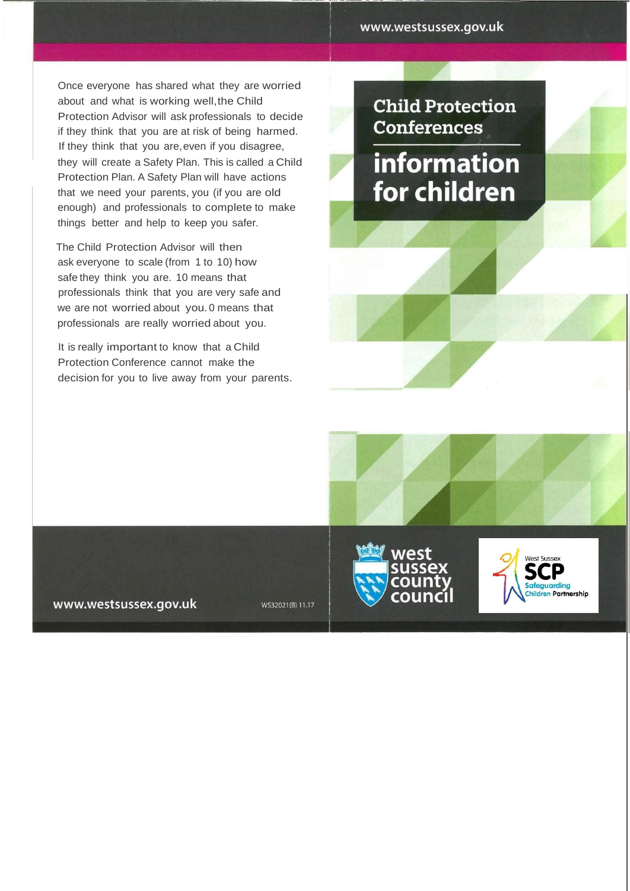Once everyone has shared what they are worried about and what is working well, the Child Protection Advisor will ask professionals to decide if they think that you are at risk of being harmed. If they think that you are,even if you disagree, they will create a Safety Plan. This is called a Child Protection Plan. A Safety Plan will have actions that we need your parents, you (if you are old enough) and professionals to complete to make things better and help to keep you safer.

The Child Protection Advisor will then ask everyone to scale (from 1 to 10) how safe they think you are. 10 means that professionals think that you are very safe and we are not worried about you.0 means that professionals are really worried about you.

It is really important to know that a Child Protection Conference cannot make the decision for you to live away from your parents. **Child Protection Conferences** 

information for children

www.westsussex.gov.uk

WS32021(B) 11.17